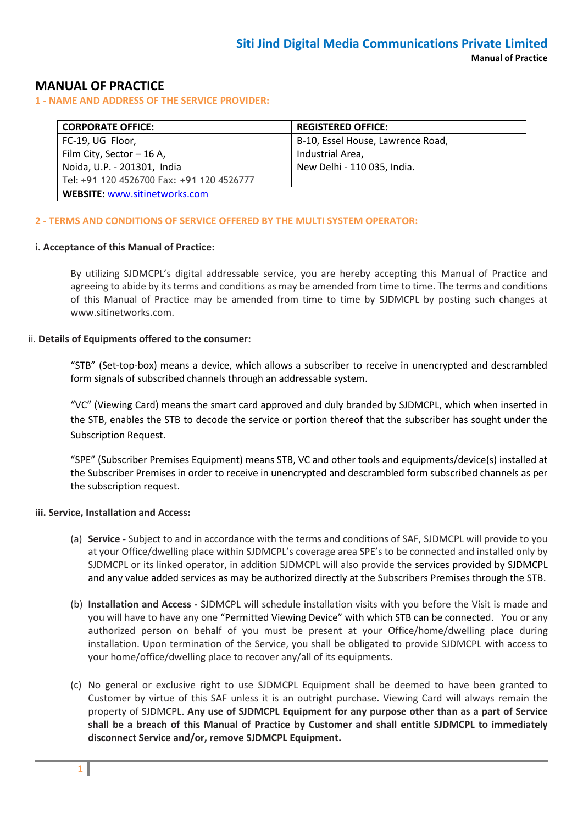## **MANUAL OF PRACTICE**

**1 - NAME AND ADDRESS OF THE SERVICE PROVIDER:**

| <b>CORPORATE OFFICE:</b>                  | <b>REGISTERED OFFICE:</b>         |  |  |  |  |
|-------------------------------------------|-----------------------------------|--|--|--|--|
| FC-19, UG Floor,                          | B-10, Essel House, Lawrence Road, |  |  |  |  |
| Film City, Sector - 16 A,                 | Industrial Area,                  |  |  |  |  |
| Noida, U.P. - 201301, India               | New Delhi - 110 035, India.       |  |  |  |  |
| Tel: +91 120 4526700 Fax: +91 120 4526777 |                                   |  |  |  |  |
| <b>WEBSITE: www.sitinetworks.com</b>      |                                   |  |  |  |  |

#### **2 - TERMS AND CONDITIONS OF SERVICE OFFERED BY THE MULTI SYSTEM OPERATOR:**

#### **i. Acceptance of this Manual of Practice:**

By utilizing SJDMCPL's digital addressable service, you are hereby accepting this Manual of Practice and agreeing to abide by its terms and conditions as may be amended from time to time. The terms and conditions of this Manual of Practice may be amended from time to time by SJDMCPL by posting such changes at www.sitinetworks.com.

#### ii. **Details of Equipments offered to the consumer:**

"STB" (Set-top-box) means a device, which allows a subscriber to receive in unencrypted and descrambled form signals of subscribed channels through an addressable system.

"VC" (Viewing Card) means the smart card approved and duly branded by SJDMCPL, which when inserted in the STB, enables the STB to decode the service or portion thereof that the subscriber has sought under the Subscription Request.

"SPE" (Subscriber Premises Equipment) means STB, VC and other tools and equipments/device(s) installed at the Subscriber Premises in order to receive in unencrypted and descrambled form subscribed channels as per the subscription request.

#### **iii. Service, Installation and Access:**

- (a) **Service -** Subject to and in accordance with the terms and conditions of SAF, SJDMCPL will provide to you at your Office/dwelling place within SJDMCPL's coverage area SPE's to be connected and installed only by SJDMCPL or its linked operator, in addition SJDMCPL will also provide the services provided by SJDMCPL and any value added services as may be authorized directly at the Subscribers Premises through the STB.
- (b) **Installation and Access -** SJDMCPL will schedule installation visits with you before the Visit is made and you will have to have any one "Permitted Viewing Device" with which STB can be connected. You or any authorized person on behalf of you must be present at your Office/home/dwelling place during installation. Upon termination of the Service, you shall be obligated to provide SJDMCPL with access to your home/office/dwelling place to recover any/all of its equipments.
- (c) No general or exclusive right to use SJDMCPL Equipment shall be deemed to have been granted to Customer by virtue of this SAF unless it is an outright purchase. Viewing Card will always remain the property of SJDMCPL. **Any use of SJDMCPL Equipment for any purpose other than as a part of Service shall be a breach of this Manual of Practice by Customer and shall entitle SJDMCPL to immediately disconnect Service and/or, remove SJDMCPL Equipment.**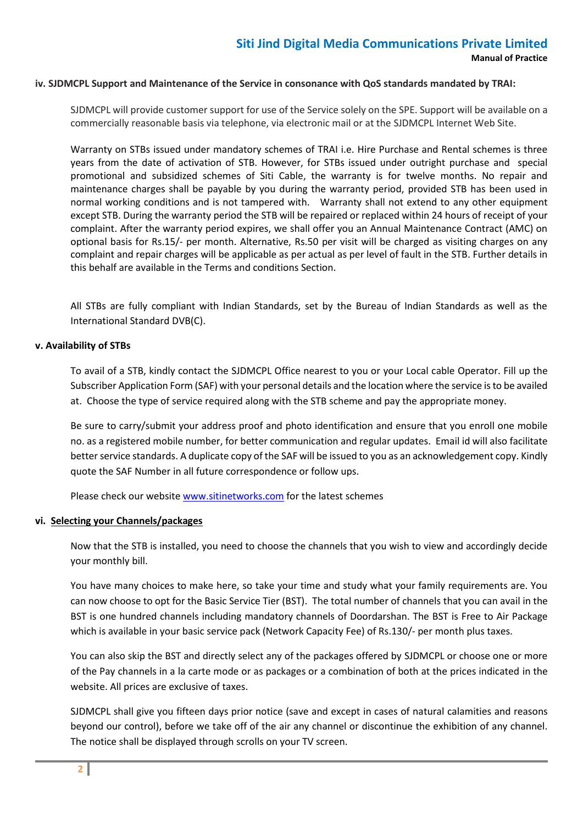#### **iv. SJDMCPL Support and Maintenance of the Service in consonance with QoS standards mandated by TRAI:**

SJDMCPL will provide customer support for use of the Service solely on the SPE. Support will be available on a commercially reasonable basis via telephone, via electronic mail or at the SJDMCPL Internet Web Site.

Warranty on STBs issued under mandatory schemes of TRAI i.e. Hire Purchase and Rental schemes is three years from the date of activation of STB. However, for STBs issued under outright purchase and special promotional and subsidized schemes of Siti Cable, the warranty is for twelve months. No repair and maintenance charges shall be payable by you during the warranty period, provided STB has been used in normal working conditions and is not tampered with. Warranty shall not extend to any other equipment except STB. During the warranty period the STB will be repaired or replaced within 24 hours of receipt of your complaint. After the warranty period expires, we shall offer you an Annual Maintenance Contract (AMC) on optional basis for Rs.15/- per month. Alternative, Rs.50 per visit will be charged as visiting charges on any complaint and repair charges will be applicable as per actual as per level of fault in the STB. Further details in this behalf are available in the Terms and conditions Section.

All STBs are fully compliant with Indian Standards, set by the Bureau of Indian Standards as well as the International Standard DVB(C).

### **v. Availability of STBs**

To avail of a STB, kindly contact the SJDMCPL Office nearest to you or your Local cable Operator. Fill up the Subscriber Application Form (SAF) with your personal details and the location where the service is to be availed at. Choose the type of service required along with the STB scheme and pay the appropriate money.

Be sure to carry/submit your address proof and photo identification and ensure that you enroll one mobile no. as a registered mobile number, for better communication and regular updates. Email id will also facilitate better service standards. A duplicate copy of the SAF will be issued to you as an acknowledgement copy. Kindly quote the SAF Number in all future correspondence or follow ups.

Please check our websit[e www.sitinetworks.com](http://www.siticable.com/) for the latest schemes

### **vi. Selecting your Channels/packages**

Now that the STB is installed, you need to choose the channels that you wish to view and accordingly decide your monthly bill.

You have many choices to make here, so take your time and study what your family requirements are. You can now choose to opt for the Basic Service Tier (BST). The total number of channels that you can avail in the BST is one hundred channels including mandatory channels of Doordarshan. The BST is Free to Air Package which is available in your basic service pack (Network Capacity Fee) of Rs.130/- per month plus taxes.

You can also skip the BST and directly select any of the packages offered by SJDMCPL or choose one or more of the Pay channels in a la carte mode or as packages or a combination of both at the prices indicated in the website. All prices are exclusive of taxes.

SJDMCPL shall give you fifteen days prior notice (save and except in cases of natural calamities and reasons beyond our control), before we take off of the air any channel or discontinue the exhibition of any channel. The notice shall be displayed through scrolls on your TV screen.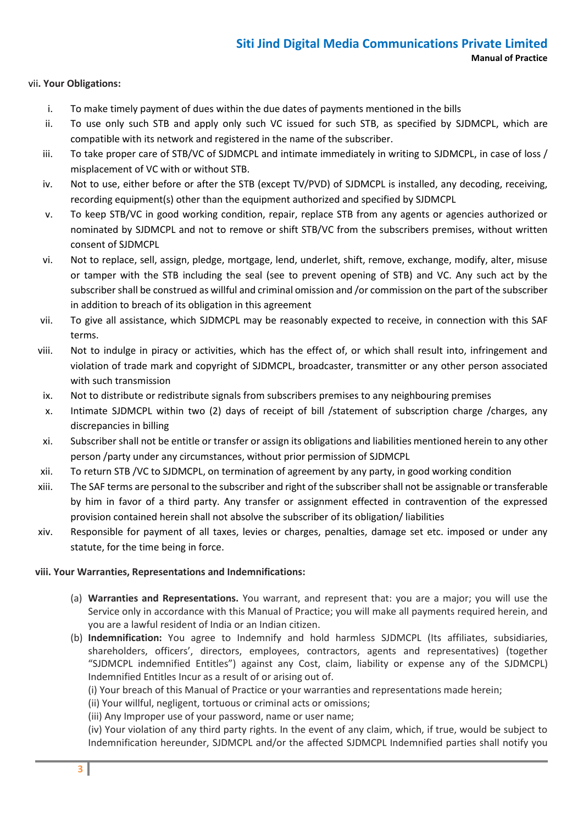### vii**. Your Obligations:**

- i. To make timely payment of dues within the due dates of payments mentioned in the bills
- ii. To use only such STB and apply only such VC issued for such STB, as specified by SJDMCPL, which are compatible with its network and registered in the name of the subscriber.
- iii. To take proper care of STB/VC of SJDMCPL and intimate immediately in writing to SJDMCPL, in case of loss / misplacement of VC with or without STB.
- iv. Not to use, either before or after the STB (except TV/PVD) of SJDMCPL is installed, any decoding, receiving, recording equipment(s) other than the equipment authorized and specified by SJDMCPL
- v. To keep STB/VC in good working condition, repair, replace STB from any agents or agencies authorized or nominated by SJDMCPL and not to remove or shift STB/VC from the subscribers premises, without written consent of SJDMCPL
- vi. Not to replace, sell, assign, pledge, mortgage, lend, underlet, shift, remove, exchange, modify, alter, misuse or tamper with the STB including the seal (see to prevent opening of STB) and VC. Any such act by the subscriber shall be construed as willful and criminal omission and /or commission on the part of the subscriber in addition to breach of its obligation in this agreement
- vii. To give all assistance, which SJDMCPL may be reasonably expected to receive, in connection with this SAF terms.
- viii. Not to indulge in piracy or activities, which has the effect of, or which shall result into, infringement and violation of trade mark and copyright of SJDMCPL, broadcaster, transmitter or any other person associated with such transmission
- ix. Not to distribute or redistribute signals from subscribers premises to any neighbouring premises
- x. Intimate SJDMCPL within two (2) days of receipt of bill /statement of subscription charge /charges, any discrepancies in billing
- xi. Subscriber shall not be entitle or transfer or assign its obligations and liabilities mentioned herein to any other person /party under any circumstances, without prior permission of SJDMCPL
- xii. To return STB /VC to SJDMCPL, on termination of agreement by any party, in good working condition
- xiii. The SAF terms are personal to the subscriber and right of the subscriber shall not be assignable or transferable by him in favor of a third party. Any transfer or assignment effected in contravention of the expressed provision contained herein shall not absolve the subscriber of its obligation/ liabilities
- xiv. Responsible for payment of all taxes, levies or charges, penalties, damage set etc. imposed or under any statute, for the time being in force.

### **viii. Your Warranties, Representations and Indemnifications:**

- (a) **Warranties and Representations.** You warrant, and represent that: you are a major; you will use the Service only in accordance with this Manual of Practice; you will make all payments required herein, and you are a lawful resident of India or an Indian citizen.
- (b) **Indemnification:** You agree to Indemnify and hold harmless SJDMCPL (Its affiliates, subsidiaries, shareholders, officers', directors, employees, contractors, agents and representatives) (together "SJDMCPL indemnified Entitles") against any Cost, claim, liability or expense any of the SJDMCPL) Indemnified Entitles Incur as a result of or arising out of.
	- (i) Your breach of this Manual of Practice or your warranties and representations made herein;
	- (ii) Your willful, negligent, tortuous or criminal acts or omissions;
	- (iii) Any Improper use of your password, name or user name;

(iv) Your violation of any third party rights. In the event of any claim, which, if true, would be subject to Indemnification hereunder, SJDMCPL and/or the affected SJDMCPL Indemnified parties shall notify you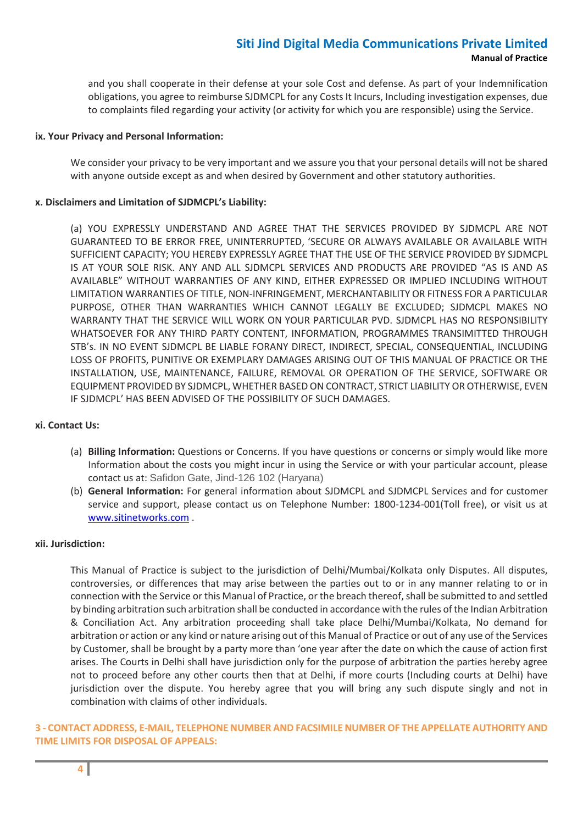and you shall cooperate in their defense at your sole Cost and defense. As part of your Indemnification obligations, you agree to reimburse SJDMCPL for any Costs It Incurs, Including investigation expenses, due to complaints filed regarding your activity (or activity for which you are responsible) using the Service.

#### **ix. Your Privacy and Personal Information:**

We consider your privacy to be very important and we assure you that your personal details will not be shared with anyone outside except as and when desired by Government and other statutory authorities.

#### **x. Disclaimers and Limitation of SJDMCPL's Liability:**

(a) YOU EXPRESSLY UNDERSTAND AND AGREE THAT THE SERVICES PROVIDED BY SJDMCPL ARE NOT GUARANTEED TO BE ERROR FREE, UNINTERRUPTED, 'SECURE OR ALWAYS AVAILABLE OR AVAILABLE WITH SUFFICIENT CAPACITY; YOU HEREBY EXPRESSLY AGREE THAT THE USE OF THE SERVICE PROVIDED BY SJDMCPL IS AT YOUR SOLE RISK. ANY AND ALL SJDMCPL SERVICES AND PRODUCTS ARE PROVIDED "AS IS AND AS AVAILABLE" WITHOUT WARRANTIES OF ANY KIND, EITHER EXPRESSED OR IMPLIED INCLUDING WITHOUT LIMITATION WARRANTIES OF TITLE, NON-INFRINGEMENT, MERCHANTABILITY OR FITNESS FOR A PARTICULAR PURPOSE, OTHER THAN WARRANTIES WHICH CANNOT LEGALLY BE EXCLUDED; SJDMCPL MAKES NO WARRANTY THAT THE SERVICE WILL WORK ON YOUR PARTICULAR PVD. SJDMCPL HAS NO RESPONSIBILITY WHATSOEVER FOR ANY THIRD PARTY CONTENT, INFORMATION, PROGRAMMES TRANSIMITTED THROUGH STB's. IN NO EVENT SJDMCPL BE LIABLE FORANY DIRECT, INDIRECT, SPECIAL, CONSEQUENTIAL, INCLUDING LOSS OF PROFITS, PUNITIVE OR EXEMPLARY DAMAGES ARISING OUT OF THIS MANUAL OF PRACTICE OR THE INSTALLATION, USE, MAINTENANCE, FAILURE, REMOVAL OR OPERATION OF THE SERVICE, SOFTWARE OR EQUIPMENT PROVIDED BY SJDMCPL, WHETHER BASED ON CONTRACT, STRICT LIABILITY OR OTHERWISE, EVEN IF SJDMCPL' HAS BEEN ADVISED OF THE POSSIBILITY OF SUCH DAMAGES.

### **xi. Contact Us:**

- (a) **Billing Information:** Questions or Concerns. If you have questions or concerns or simply would like more Information about the costs you might incur in using the Service or with your particular account, please contact us at: Safidon Gate, Jind-126 102 (Haryana)
- (b) **General Information:** For general information about SJDMCPL and SJDMCPL Services and for customer service and support, please contact us on Telephone Number: 1800-1234-001(Toll free), or visit us at [www.sitinetworks.com](http://www.siticable.com/) .

#### **xii. Jurisdiction:**

This Manual of Practice is subject to the jurisdiction of Delhi/Mumbai/Kolkata only Disputes. All disputes, controversies, or differences that may arise between the parties out to or in any manner relating to or in connection with the Service or this Manual of Practice, or the breach thereof, shall be submitted to and settled by binding arbitration such arbitration shall be conducted in accordance with the rules of the Indian Arbitration & Conciliation Act. Any arbitration proceeding shall take place Delhi/Mumbai/Kolkata, No demand for arbitration or action or any kind or nature arising out of this Manual of Practice or out of any use of the Services by Customer, shall be brought by a party more than 'one year after the date on which the cause of action first arises. The Courts in Delhi shall have jurisdiction only for the purpose of arbitration the parties hereby agree not to proceed before any other courts then that at Delhi, if more courts (Including courts at Delhi) have jurisdiction over the dispute. You hereby agree that you will bring any such dispute singly and not in combination with claims of other individuals.

### **3 - CONTACT ADDRESS, E-MAIL, TELEPHONE NUMBER AND FACSIMILE NUMBER OF THE APPELLATE AUTHORITY AND TIME LIMITS FOR DISPOSAL OF APPEALS:**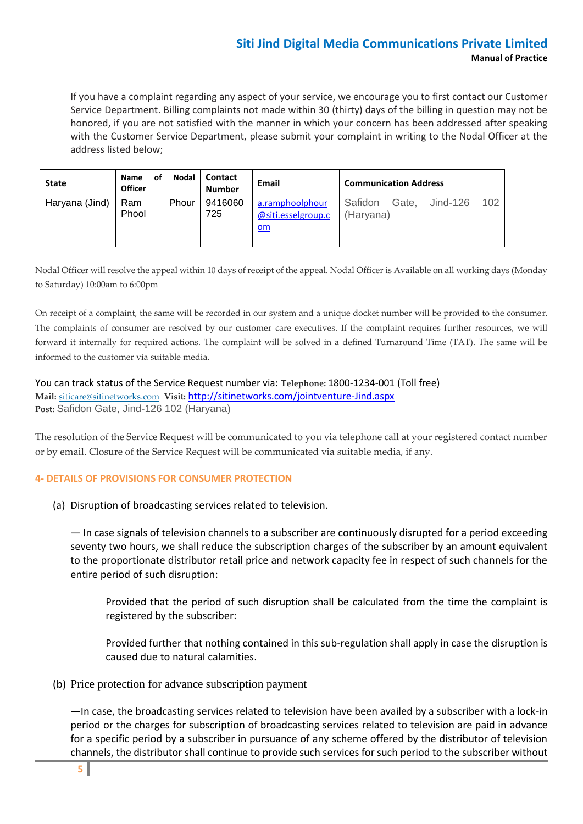If you have a complaint regarding any aspect of your service, we encourage you to first contact our Customer Service Department. Billing complaints not made within 30 (thirty) days of the billing in question may not be honored, if you are not satisfied with the manner in which your concern has been addressed after speaking with the Customer Service Department, please submit your complaint in writing to the Nodal Officer at the address listed below;

| <b>State</b>   | <b>Name</b><br>οt<br><b>Officer</b> | <b>Nodal</b> | <b>Contact</b><br>Number | Email                                         | <b>Communication Address</b> |       |          |      |
|----------------|-------------------------------------|--------------|--------------------------|-----------------------------------------------|------------------------------|-------|----------|------|
| Haryana (Jind) | Ram<br>Phool                        | Phour        | 9416060<br>725           | a.ramphoolphour<br>@siti.esselgroup.c<br>$om$ | Safidon<br>(Haryana)         | Gate. | Jind-126 | -102 |

Nodal Officer will resolve the appeal within 10 days of receipt of the appeal. Nodal Officer is Available on all working days (Monday to Saturday) 10:00am to 6:00pm

On receipt of a complaint, the same will be recorded in our system and a unique docket number will be provided to the consumer. The complaints of consumer are resolved by our customer care executives. If the complaint requires further resources, we will forward it internally for required actions. The complaint will be solved in a defined Turnaround Time (TAT). The same will be informed to the customer via suitable media.

You can track status of the Service Request number via: **Telephone:** 1800-1234-001 (Toll free) **Mail:** [siticare@sitinetworks.com](mailto:siticare@siticable.com) **Visit:** <http://sitinetworks.com/jointventure-Jind.aspx> **Post:** Safidon Gate, Jind-126 102 (Haryana)

The resolution of the Service Request will be communicated to you via telephone call at your registered contact number or by email. Closure of the Service Request will be communicated via suitable media, if any.

## **4- DETAILS OF PROVISIONS FOR CONSUMER PROTECTION**

(a) Disruption of broadcasting services related to television.

— In case signals of television channels to a subscriber are continuously disrupted for a period exceeding seventy two hours, we shall reduce the subscription charges of the subscriber by an amount equivalent to the proportionate distributor retail price and network capacity fee in respect of such channels for the entire period of such disruption:

Provided that the period of such disruption shall be calculated from the time the complaint is registered by the subscriber:

Provided further that nothing contained in this sub-regulation shall apply in case the disruption is caused due to natural calamities.

(b) Price protection for advance subscription payment

—In case, the broadcasting services related to television have been availed by a subscriber with a lock-in period or the charges for subscription of broadcasting services related to television are paid in advance for a specific period by a subscriber in pursuance of any scheme offered by the distributor of television channels, the distributor shall continue to provide such services for such period to the subscriber without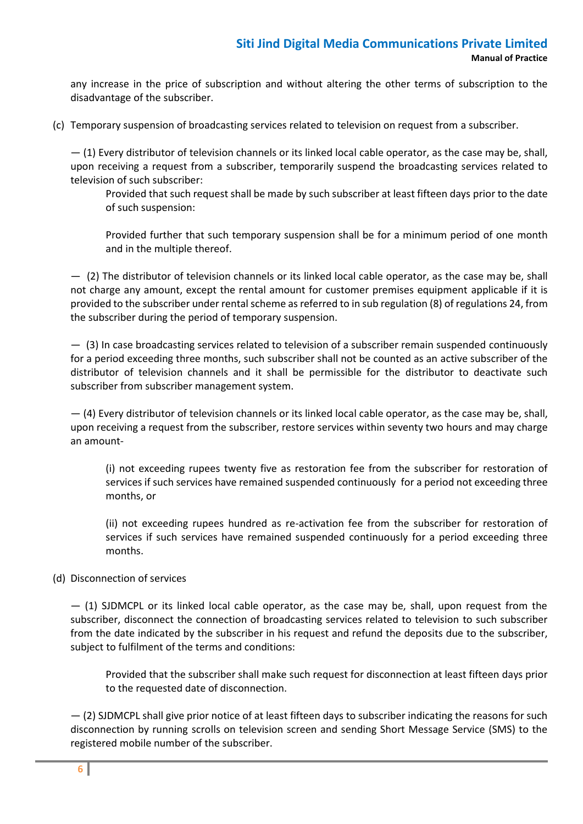any increase in the price of subscription and without altering the other terms of subscription to the disadvantage of the subscriber.

(c) Temporary suspension of broadcasting services related to television on request from a subscriber.

— (1) Every distributor of television channels or its linked local cable operator, as the case may be, shall, upon receiving a request from a subscriber, temporarily suspend the broadcasting services related to television of such subscriber:

Provided that such request shall be made by such subscriber at least fifteen days prior to the date of such suspension:

Provided further that such temporary suspension shall be for a minimum period of one month and in the multiple thereof.

— (2) The distributor of television channels or its linked local cable operator, as the case may be, shall not charge any amount, except the rental amount for customer premises equipment applicable if it is provided to the subscriber under rental scheme as referred to in sub regulation (8) of regulations 24, from the subscriber during the period of temporary suspension.

— (3) In case broadcasting services related to television of a subscriber remain suspended continuously for a period exceeding three months, such subscriber shall not be counted as an active subscriber of the distributor of television channels and it shall be permissible for the distributor to deactivate such subscriber from subscriber management system.

— (4) Every distributor of television channels or its linked local cable operator, as the case may be, shall, upon receiving a request from the subscriber, restore services within seventy two hours and may charge an amount-

(i) not exceeding rupees twenty five as restoration fee from the subscriber for restoration of services if such services have remained suspended continuously for a period not exceeding three months, or

(ii) not exceeding rupees hundred as re-activation fee from the subscriber for restoration of services if such services have remained suspended continuously for a period exceeding three months.

## (d) Disconnection of services

— (1) SJDMCPL or its linked local cable operator, as the case may be, shall, upon request from the subscriber, disconnect the connection of broadcasting services related to television to such subscriber from the date indicated by the subscriber in his request and refund the deposits due to the subscriber, subject to fulfilment of the terms and conditions:

Provided that the subscriber shall make such request for disconnection at least fifteen days prior to the requested date of disconnection.

— (2) SJDMCPL shall give prior notice of at least fifteen days to subscriber indicating the reasons for such disconnection by running scrolls on television screen and sending Short Message Service (SMS) to the registered mobile number of the subscriber.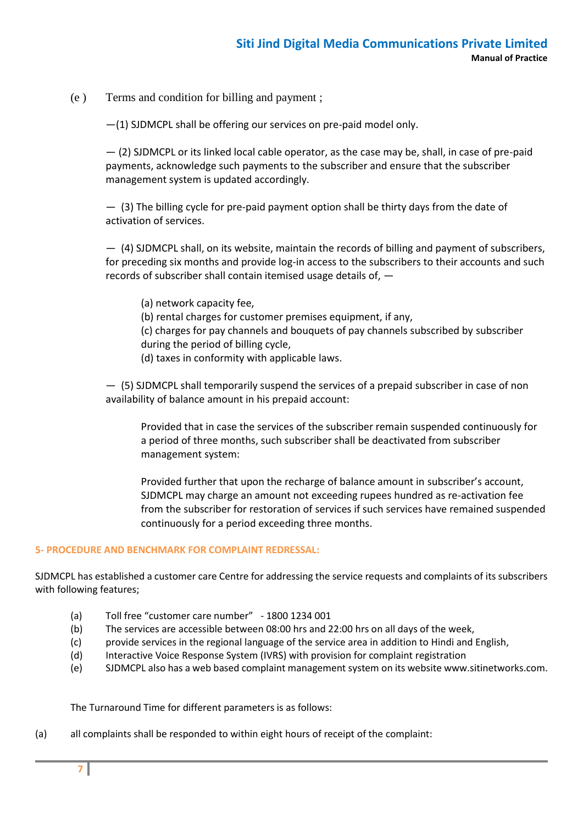(e ) Terms and condition for billing and payment ;

—(1) SJDMCPL shall be offering our services on pre-paid model only.

— (2) SJDMCPL or its linked local cable operator, as the case may be, shall, in case of pre-paid payments, acknowledge such payments to the subscriber and ensure that the subscriber management system is updated accordingly.

— (3) The billing cycle for pre-paid payment option shall be thirty days from the date of activation of services.

— (4) SJDMCPL shall, on its website, maintain the records of billing and payment of subscribers, for preceding six months and provide log-in access to the subscribers to their accounts and such records of subscriber shall contain itemised usage details of, —

(a) network capacity fee, (b) rental charges for customer premises equipment, if any, (c) charges for pay channels and bouquets of pay channels subscribed by subscriber during the period of billing cycle, (d) taxes in conformity with applicable laws.

— (5) SJDMCPL shall temporarily suspend the services of a prepaid subscriber in case of non availability of balance amount in his prepaid account:

Provided that in case the services of the subscriber remain suspended continuously for a period of three months, such subscriber shall be deactivated from subscriber management system:

Provided further that upon the recharge of balance amount in subscriber's account, SJDMCPL may charge an amount not exceeding rupees hundred as re-activation fee from the subscriber for restoration of services if such services have remained suspended continuously for a period exceeding three months.

## **5- PROCEDURE AND BENCHMARK FOR COMPLAINT REDRESSAL:**

SJDMCPL has established a customer care Centre for addressing the service requests and complaints of its subscribers with following features;

- (a) Toll free "customer care number" 1800 1234 001
- (b) The services are accessible between 08:00 hrs and 22:00 hrs on all days of the week,
- (c) provide services in the regional language of the service area in addition to Hindi and English,
- (d) Interactive Voice Response System (IVRS) with provision for complaint registration
- (e) SJDMCPL also has a web based complaint management system on its website www.sitinetworks.com.

The Turnaround Time for different parameters is as follows:

(a) all complaints shall be responded to within eight hours of receipt of the complaint: